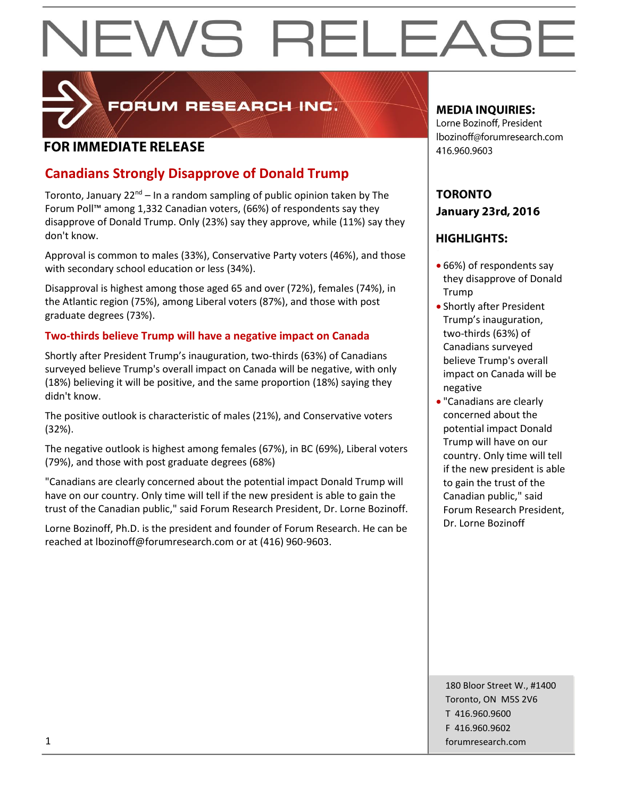# **NEWS RELEAS**



# FORUM RESEARCH INC.

### **FOR IMMEDIATE RELEASE**

# **Canadians Strongly Disapprove of Donald Trump**

Toronto, January 22<sup>nd</sup> – In a random sampling of public opinion taken by The Forum Poll™ among 1,332 Canadian voters, (66%) of respondents say they disapprove of Donald Trump. Only (23%) say they approve, while (11%) say they don't know.

Approval is common to males (33%), Conservative Party voters (46%), and those with secondary school education or less (34%).

Disapproval is highest among those aged 65 and over (72%), females (74%), in the Atlantic region (75%), among Liberal voters (87%), and those with post graduate degrees (73%).

#### **Two-thirds believe Trump will have a negative impact on Canada**

Shortly after President Trump's inauguration, two-thirds (63%) of Canadians surveyed believe Trump's overall impact on Canada will be negative, with only (18%) believing it will be positive, and the same proportion (18%) saying they didn't know.

The positive outlook is characteristic of males (21%), and Conservative voters (32%).

The negative outlook is highest among females (67%), in BC (69%), Liberal voters (79%), and those with post graduate degrees (68%)

"Canadians are clearly concerned about the potential impact Donald Trump will have on our country. Only time will tell if the new president is able to gain the trust of the Canadian public," said Forum Research President, Dr. Lorne Bozinoff.

Lorne Bozinoff, Ph.D. is the president and founder of Forum Research. He can be reached at lbozinoff@forumresearch.com or at (416) 960-9603.

#### **MEDIA INQUIRIES:**

Lorne Bozinoff, President lbozinoff@forumresearch.com 416.960.9603

# **TORONTO January 23rd, 2016**

### **HIGHLIGHTS:**

- 66%) of respondents say they disapprove of Donald Trump
- Shortly after President Trump's inauguration, two-thirds (63%) of Canadians surveyed believe Trump's overall impact on Canada will be negative
- "Canadians are clearly concerned about the potential impact Donald Trump will have on our country. Only time will tell if the new president is able to gain the trust of the Canadian public," said Forum Research President, Dr. Lorne Bozinoff

180 Bloor Street W., #1400 Toronto, ON M5S 2V6 T 416.960.9600 F 416.960.9602 1 forumresearch.com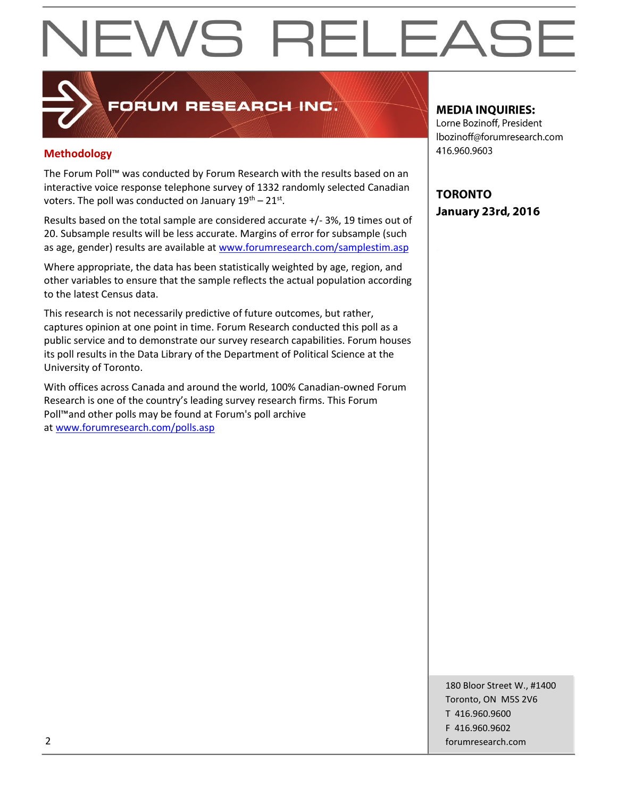# EWS RELEASE

# FORUM RESEARCH INC.

### **Methodology**

The Forum Poll™ was conducted by Forum Research with the results based on an interactive voice response telephone survey of 1332 randomly selected Canadian voters. The poll was conducted on January  $19<sup>th</sup> - 21<sup>st</sup>$ .

Results based on the total sample are considered accurate +/- 3%, 19 times out of 20. Subsample results will be less accurate. Margins of error for subsample (such as age, gender) results are available at [www.forumresearch.com/samplestim.asp](http://www.forumresearch.com/samplestim.asp)

Where appropriate, the data has been statistically weighted by age, region, and other variables to ensure that the sample reflects the actual population according to the latest Census data.

This research is not necessarily predictive of future outcomes, but rather, captures opinion at one point in time. Forum Research conducted this poll as a public service and to demonstrate our survey research capabilities. Forum houses its poll results in the Data Library of the Department of Political Science at the University of Toronto.

With offices across Canada and around the world, 100% Canadian-owned Forum Research is one of the country's leading survey research firms. This Forum Poll™and other polls may be found at Forum's poll archive at [www.forumresearch.com/polls.asp](http://www.forumresearch.com/polls.asp)

#### **MEDIA INQUIRIES:**

Lorne Bozinoff, President lbozinoff@forumresearch.com 416.960.9603

**TORONTO January 23rd, 2016** 

180 Bloor Street W., #1400 Toronto, ON M5S 2V6 T 416.960.9600 F 416.960.9602 2 forumresearch.com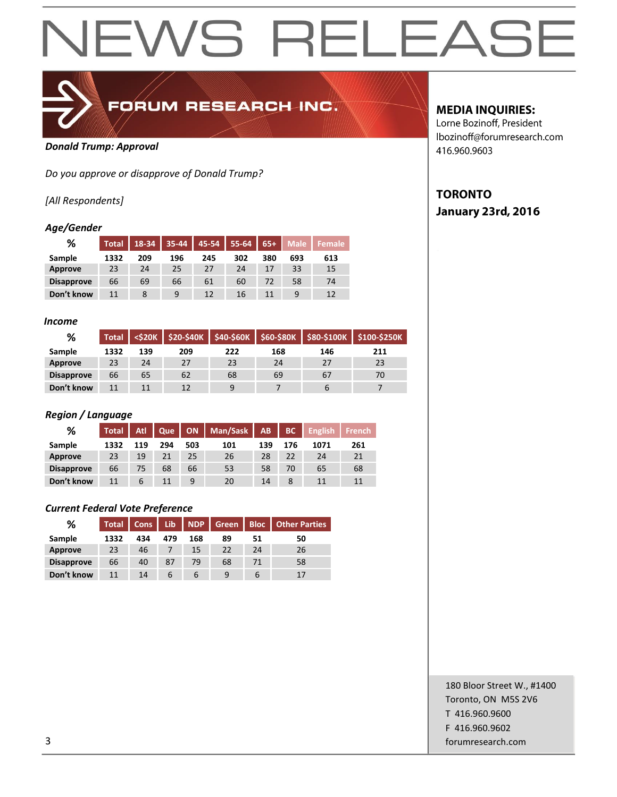# **NEWS RELEASE**



#### *Donald Trump: Approval*

*Do you approve or disapprove of Donald Trump?*

#### *[All Respondents]*

#### *Age/Gender*

| %                 | Total | 18-34 | $35 - 44$ | 45-54 | 55-64 | $65+$ | <b>Male</b> | Female |
|-------------------|-------|-------|-----------|-------|-------|-------|-------------|--------|
| Sample            | 1332  | 209   | 196       | 245   | 302   | 380   | 693         | 613    |
| Approve           | 23    | 24    | 25        | 27    | 24    |       | 33          | 15     |
| <b>Disapprove</b> | 66    | 69    | 66        | 61    | 60    |       | 58          | 74     |
| Don't know        | 11    | 8     | 9         | 12    | 16    |       |             | 12     |

#### *Income*

| %                 | <b>Total</b> | $<$ \$20 $K$ |     |     |     | \$20-\$40K \$40-\$60K \$60-\$80K \$80-\$100K | \$100-\$250K |
|-------------------|--------------|--------------|-----|-----|-----|----------------------------------------------|--------------|
| Sample            | 1332         | 139          | 209 | 222 | 168 | 146                                          | 211          |
| <b>Approve</b>    | 23           | 24           | 27  | 23  | 24  | 27                                           | 23           |
| <b>Disapprove</b> | 66           | 65           | 62  | 68  | 69  | 67                                           | 70           |
| Don't know        | 11           | 11           | 12  | 9   |     | b                                            |              |

#### *Region / Language*

| %                 | Total | Atl | Que |     | ON   Man/Sask | AB  | BC  | <b>English</b> | <b>French</b> |
|-------------------|-------|-----|-----|-----|---------------|-----|-----|----------------|---------------|
| Sample            | 1332  | 119 | 294 | 503 | 101           | 139 | 176 | 1071           | 261           |
| Approve           | 23    | 19  | 21  | 25  | 26            | 28  | 22  | 24             | 21            |
| <b>Disapprove</b> | 66    | 75  | 68  | 66  | 53            | 58  | 70  | 65             | 68            |
| Don't know        | 11    | 6   |     | q   | 20            | 14  | 8   |                | 11            |

#### *Current Federal Vote Preference*

| %                 | <b>Total</b> | <b>Cons</b> | Lib | <b>NDP</b> | Green | <b>Bloc</b> | <b>Other Parties</b> |
|-------------------|--------------|-------------|-----|------------|-------|-------------|----------------------|
| Sample            | 1332         | 434         | 479 | 168        | 89    | 51          | 50                   |
| <b>Approve</b>    | 23           | 46          |     | 15         | 22    | 24          | 26                   |
| <b>Disapprove</b> | 66           | 40          | 87  | 79         | 68    | 71          | 58                   |
| Don't know        | 11           | 14          | b   | b          |       | b           | 17                   |

#### **MEDIA INQUIRIES:**

Lorne Bozinoff, President lbozinoff@forumresearch.com 416.960.9603

### **TORONTO January 23rd, 2016**

180 Bloor Street W., #1400 Toronto, ON M5S 2V6 T 416.960.9600 F 416.960.9602 3 forumresearch.com